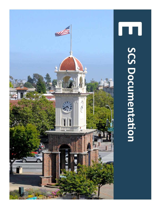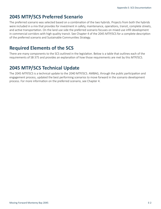### **2045 MTP/SCS Preferred Scenario**

The preferred scenario was selected based on a combination of the two hybrids. Projects from both the hybrids were included in a mix that provides for investment in safety, maintenance, operations, transit, complete streets, and active transportation. On the land use side the preferred scenario focuses on mixed use infill development in commercial corridors with high quality transit. See Chapter 4 of the 2045 MTP/SCS for a complete descripton of the preferred scenario and Sustainable Communities Strategy.

## **Required Elements of the SCS**

There are many components to the SCS outlined in the legislation. Below is a table that outlines each of the requirements of SB 375 and provides an explanation of how those requirements are met by this MTP/SCS.

## **2045 MTP/SCS Technical Update**

The 2045 MTP/SCS is a technical update to the 2040 MTP/SCS. AMBAG, through the public participation and engagement process, updated the best performing scenarios to move forward in the scenario development process. For more information on the preferred scenario, see Chapter 4.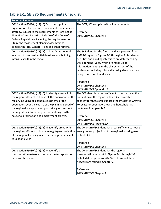#### **Table E-1: SB 375 Requirements Checklist**

| <b>Required Element</b>                                                   | <b>Addressed</b>                                        |
|---------------------------------------------------------------------------|---------------------------------------------------------|
| CGC Section 65080(b) (2).(B) Each metropolitan                            | The MTP/SCS complies with all requirements.             |
| organization shall prepare a sustainable communities                      |                                                         |
| strategy, subject to the requirements of Part 450 of                      | Reference:                                              |
| Title 23 of, and Part 93 of Title 40 of, the Code of                      | 2045 MTP/SCS Chapter 4                                  |
| Federal Regulations, including the requirement to                         |                                                         |
| utilize the most recent planning assumptions                              |                                                         |
| considering local General Plans and other factors.                        |                                                         |
| CGC Section 65080(b) (2).(B) i. Identify the general                      | The SCS identifies the future land use pattern of the   |
| location of uses, residential densities, and building                     | AMBAG region in Figures 4-1 through 4-3. Residential    |
| intensities within the region.                                            | densities and building intensities are determined by    |
|                                                                           | Development Types, which are made up of                 |
|                                                                           | information relating to the characteristics of the      |
|                                                                           | landscape, including jobs and housing density, urban    |
|                                                                           | design, and mix of land uses.                           |
|                                                                           | Reference:                                              |
|                                                                           | 2045 MTP/SCS Chapter 4                                  |
|                                                                           | 2045 MTP/SCS Appendix F                                 |
| CGC Section 65080(b) (2).(B) ii. Identify areas within                    | The SCS identifies areas sufficient to house the entire |
| the region sufficient to house all the population of the                  | population in the region in Table 4-2. Projected        |
| region, including all economic segments of the                            | capacity for these areas utilized the Integrated Growth |
| population, over the course of the planning period of                     | Forecast for population, jobs and households as         |
| the regional transportation plan taking into account                      | contained in Appendix A.                                |
| net migration into the region, population growth,                         |                                                         |
| household formation and employment growth.                                | Reference:                                              |
|                                                                           | 2045 MTP/SCS Chapter 4                                  |
|                                                                           | 2045 MTP/SCS Appendix A                                 |
| CGC Section 65080(b) (2).(B) iii. Identify areas within                   | The 2045 MTP/SCS identifies areas sufficient to house   |
| the region sufficient to house an eight-year projection                   | an eight-year projection of the regional housing need   |
| of the regional housing need for the region pursuant<br>to Section 65584. | in Table 4-2.                                           |
|                                                                           | Reference:                                              |
|                                                                           | 2045 MTP/SCS Chapter 4                                  |
| CGC Section 65080(b) (2).(B) iv. Identify a                               | The 2045 MTP/SCS identifies the regional                |
| transportation network to service the transportation                      | transportation network in Figures 2-1 through 2-4.      |
| needs of the region.                                                      | Detailed descriptions of AMBAG's transportation         |
|                                                                           | network are found in Chapter 2.                         |
|                                                                           | Reference:                                              |
|                                                                           | 2045 MTP/SCS Chapter 2                                  |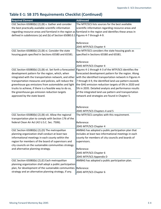#### Table E-1: SB 375 Requirements Checklist (Continued)

| <b>Required Element</b>                                                                                     | <b>Addressed</b>                                                                                               |
|-------------------------------------------------------------------------------------------------------------|----------------------------------------------------------------------------------------------------------------|
| CGC Section 65080(b) (2).(B) v. Gather and consider                                                         | The MTP/SCS lists sources for the best available                                                               |
| the best practically available scientific information                                                       | scientific information regarding resource areas and                                                            |
| regarding resource areas and farmland in the region as farmland in the region and identifies these areas in |                                                                                                                |
| defined in subdivisions (a) and (b) of Section 65080.0.1 Figures 4-7 through 4-9.                           |                                                                                                                |
|                                                                                                             |                                                                                                                |
|                                                                                                             | Reference:                                                                                                     |
|                                                                                                             | 2045 MTP/SCS Chapter 4                                                                                         |
| CGC Section 65080(b) (2).(B) vi. Consider the state                                                         | The MTP/SCS considers the state housing goals as                                                               |
| housing goals specified in Sections 65580 and 65581.                                                        | specified in Sections 65580 and 65581.                                                                         |
|                                                                                                             |                                                                                                                |
|                                                                                                             | Reference:                                                                                                     |
|                                                                                                             | 2045 MTP/SCS Chapter 4                                                                                         |
| CGC Section 65080(b) (2).(B) vii. Set forth a forecasted                                                    | Figures 4-1 through 4-3 of the MTP/SCS identifies the                                                          |
| development pattern for the region, which, when                                                             | forecasted development pattern for the region. Along                                                           |
| integrated with the transportation network, and other                                                       | with the identified transportation network in Figures 4-                                                       |
| transportation measures and policies, will reduce the                                                       | 7 through 4-9, the identified land use pattern exceeds                                                         |
| greenhouse gas emissions from automobiles and light                                                         | the GHG emission reduction targets of 0% in 2020 and                                                           |
| trucks to achieve, if there is a feasible way to do so,                                                     | 5% in 2035. Detailed analysis and performance results<br>of the integrated land use pattern and transportation |
| the greenhouse gas emission reduction targets<br>approved by the state board.                               | network and strategies are found in Chapter 5.                                                                 |
|                                                                                                             |                                                                                                                |
|                                                                                                             |                                                                                                                |
|                                                                                                             | Reference:                                                                                                     |
|                                                                                                             | 2045 MTP/SCS Chapters 4 and 5                                                                                  |
| CGC Section 65080(b) (2).(B) viii. Allow the regional                                                       | The MTP/SCS complies with this requirement.                                                                    |
| transportation plan to comply with Section 176 of the                                                       |                                                                                                                |
| federal Clean Air Act (42 U.S.C. Sec. 7506).                                                                | Reference:                                                                                                     |
|                                                                                                             | 2045 MTP/SCS Chapter 4                                                                                         |
| CGC Section 65080(b) (2).(D) The metropolitan                                                               | AMBAG has adopted a public participation plan that                                                             |
| planning organization shall conduct at least two                                                            | includes at least two informational meetings in each                                                           |
| informational meetings in each county within the                                                            | county for members of city councils and boards of                                                              |
| region for members of the board of supervisors and                                                          | supervisors.                                                                                                   |
| city councils on the sustainable communities strategy                                                       |                                                                                                                |
| and alternative planning strategy.                                                                          | Reference:                                                                                                     |
|                                                                                                             | 2045 MTP/SCS Chapter 6                                                                                         |
|                                                                                                             | 2045 MTP/SCS Appendix D                                                                                        |
| CGC Section 65080(b) (2).(E) Each metropolitan                                                              | AMBAG has adopted a public participation plan.                                                                 |
| planning organization shall adopt a public participation                                                    |                                                                                                                |
| plan, for development of the sustainable communities                                                        | Reference:                                                                                                     |
| strategy and an alternative planning strategy, if any.                                                      | 2045 MTP/SCS Chapter 6                                                                                         |

2045 MTP/SCS Appendix D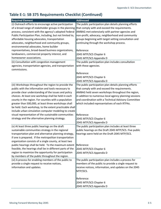# Table E-1: SB 375 Requirements Checklist (Continued)

| <b>Required Element</b>                                                                                 | <b>Addressed</b>                                       |
|---------------------------------------------------------------------------------------------------------|--------------------------------------------------------|
| (i) Outreach efforts to encourage active participation                                                  | The public participation plan details planning efforts |
| of a broad range of stakeholder groups in the planning                                                  | that comply with and exceed the requirements.          |
| process, consistent with the agency's adopted Federal                                                   | AMBAG met extensively with partner agencies and        |
| Public Participation Plan, including, but not limited to,                                               | non-profit, advocacy, neighborhood and community       |
| affordable housing advocates, transportation                                                            | groups beginning with target setting consultation and  |
| advocates, neighborhood and community groups,                                                           | continuing through the workshop process.               |
| environmental advocates, home builder                                                                   |                                                        |
| representatives, broad-based business organizations,                                                    | Reference:                                             |
| landowners, commercial property interest, and                                                           | 2045 MTP/SCS Chapter 6                                 |
| homeowner associations.                                                                                 | 2045 MTP/SCS Appendix D                                |
| (ii) Consultation with congestion management                                                            | The public participation plan includes consultation    |
| agencies, transportation agencies, and transportation                                                   | with these agencies.                                   |
| commissions.                                                                                            |                                                        |
|                                                                                                         | Reference:                                             |
|                                                                                                         | 2045 MTP/SCS Chapter 6                                 |
|                                                                                                         | 2045 MTP/SCS Appendix D                                |
| (iii) Workshops throughout the region to provide the                                                    | The public participation plan details planning efforts |
| public with the information and tools necessary to                                                      | that comply with and exceed the requirements.          |
| provide clear understanding of the issues and policy                                                    | AMBAG held seven workshops throughout the region,      |
| choices. At least one workshop shall be held in each                                                    | in addition to numerous local agency planning sessions |
| county in the region. For counties with a population                                                    | and coordination with a Technical Advisory Committee   |
| greater than 500,000, at least three workshops shall                                                    | which included representatives of each RTPAs.          |
| be held. Each workshop, to the extent practicable shall                                                 |                                                        |
| include urban simulation computer modeling to create                                                    |                                                        |
| visual representation of the sustainable communities                                                    | Reference:                                             |
| strategy and the alternative planning strategy.                                                         | 2045 MTP/SCS Chapter 6                                 |
|                                                                                                         | 2045 MTP/SCS Appendix D                                |
| (v) At least three public hearings on the draft                                                         | The public participation plan includes at least three  |
| sustainable communities strategy in the regional                                                        | public hearings on the Draft 2045 MTP/SCS. Five public |
| transportation plan and alternative planning strategy,                                                  | hearings were held on the Draft 2045 MTP/SCS.          |
| if one is prepared. If the metropolitan transportation                                                  |                                                        |
| organization consists of a single county, at least two                                                  |                                                        |
| public hearings shall be held. To the maximum extent                                                    | Reference:                                             |
| feasible, the hearings shall be in different parts of the                                               | 2045 MTP/SCS Chapter 6                                 |
| region to maximize the opportunity for participation<br>by members of the public throughout the region. | 2045 MTP/SCS Appendix D                                |
| (vi) A process for enabling members of the public to                                                    | The public participation plan includes a process for   |
| provide a single request to receive notices,                                                            | members of the public to provide a single request to   |
| information and updates.                                                                                | receive notices, information, and updates on the 2045  |
|                                                                                                         | MTP/SCS.                                               |
|                                                                                                         |                                                        |
|                                                                                                         | Reference:                                             |
|                                                                                                         | 2045 MTP/SCS Chapter 6                                 |
|                                                                                                         | 2045 MTP/SCS Appendix D                                |